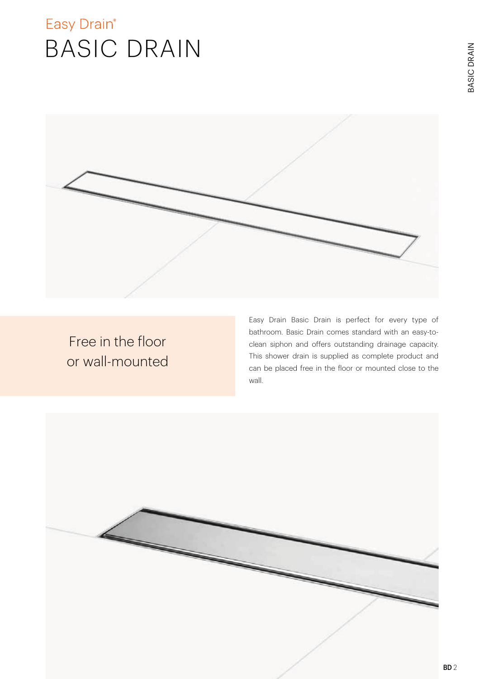# Easy Drain® BASIC DRAIN



Free in the floor or wall-mounted Easy Drain Basic Drain is perfect for every type of bathroom. Basic Drain comes standard with an easy-toclean siphon and offers outstanding drainage capacity. This shower drain is supplied as complete product and can be placed free in the floor or mounted close to the wall.

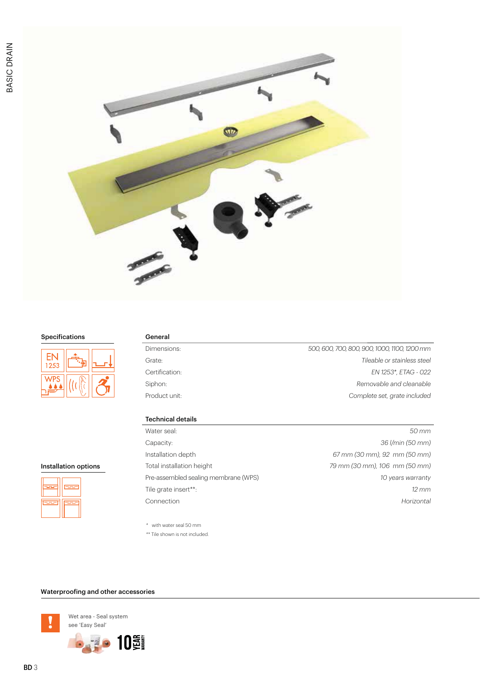

### Specifications



| Generai |  |
|---------|--|
|         |  |

Dimensions: *500, 600, 700, 800, 900, 1000, 1100, 1200 mm* Grate: *Tileable or stainless steel*

### Technical details

| Water seal:                          | 50 mm                         |
|--------------------------------------|-------------------------------|
| Capacity:                            | 36 l/min (50 mm)              |
| Installation depth                   | 67 mm (30 mm), 92 mm (50 mm)  |
| Total installation height            | 79 mm (30 mm), 106 mm (50 mm) |
| Pre-assembled sealing membrane (WPS) | 10 years warranty             |
| Tile grate insert**:                 | $12 \text{ mm}$               |
| Connection                           | Horizontal                    |

Certification: *EN 1253\*, ETAG - 022* Siphon: *Removable and cleanable* Product unit: *Complete set, grate included*

### Installation options



\* with water seal 50 mm \*\* Tile shown is not included.

#### Waterproofing and other accessories

10選

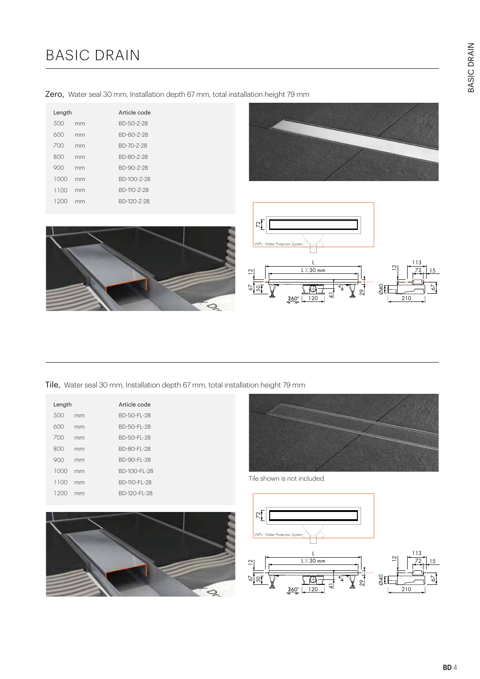## BASIC DRAIN

|  |  | Zero, Water seal 30 mm, Installation depth 67 mm, total installation height 79 mm |  |
|--|--|-----------------------------------------------------------------------------------|--|
|  |  |                                                                                   |  |

| Length |    | Article code |
|--------|----|--------------|
| 500    | mm | BD-50-7-28   |
| 600    | mm | BD-60-7-28   |
| 700    | mm | BD-70-7-28   |
| 800    | mm | BD-80-7-28   |
| 900    | mm | BD-90-7-28   |
| 1000   | mm | BD-100-7-28  |
| 1100   | mm | BD-110-7-28  |
| 1200   | mm | BD-120-7-28  |







 $\frac{10}{20}$ <br> $\frac{360^{\circ}}{20}$   $\frac{120}{20}$ 

 $\frac{4}{7}$ 



Tile, Water seal 30 mm, Installation depth 67 mm, total installation height 79 mm

| Length |    | Article code |
|--------|----|--------------|
| 500    | mm | BD-50-FL-28  |
| 600    | mm | BD-50-FL-28  |
| 700    | mm | BD-50-FL-28  |
| 800    | mm | BD-80-FL-28  |
| 900    | mm | BD-90-FL-28  |
| 1000   | mm | BD-100-FL-28 |
| 1100   | mm | BD-110-FL-28 |
| 1200   | mm | BD-120-FL-28 |



Tile shown is not included.



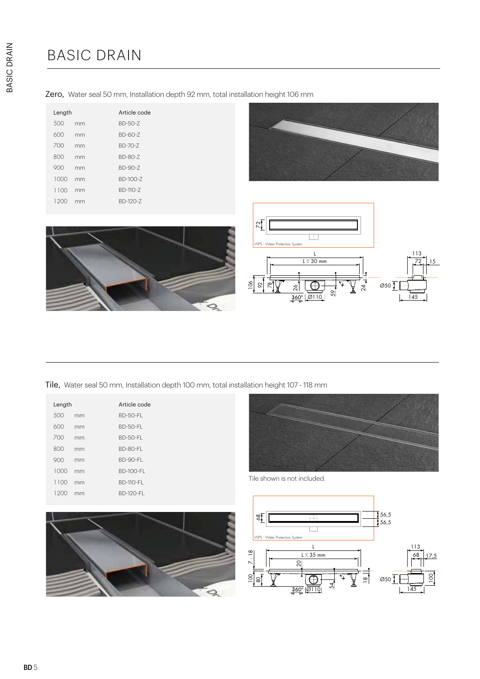### BASIC DRAIN

Zero, Water seal 50 mm, Installation depth 92 mm, total installation height 106 mm

| Length |    | Article code |
|--------|----|--------------|
| 500    | mm | BD-50-7      |
| 600    | mm | BD-60-7      |
| 700    | mm | BD-70-7      |
| 800    | mm | BD-80-7      |
| 900    | mm | BD-90-7      |
| 1000   | mm | BD-100-7     |
| 1100   | mm | BD-110-7     |
| 1200   | mm | BD-120-7     |







Tile, Water seal 50 mm, Installation depth 100 mm, total installation height 107 - 118 mm

| Length |    | Article code     |
|--------|----|------------------|
| 500    | mm | $BD-50-FL$       |
| 600    | mm | <b>BD-50-FL</b>  |
| 700    | mm | <b>BD-50-FL</b>  |
| 800    | mm | BD-80-FL         |
| 900    | mm | <b>BD-90-FL</b>  |
| 1000   | mm | <b>BD-100-FL</b> |
| 1100   | mm | <b>BD-110-FL</b> |
| 1200   | mm | <b>BD-120-FL</b> |
|        |    |                  |



Tile shown is not included.



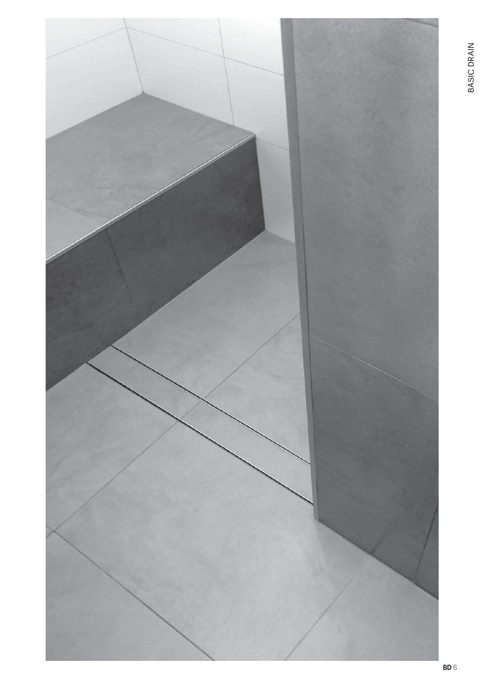

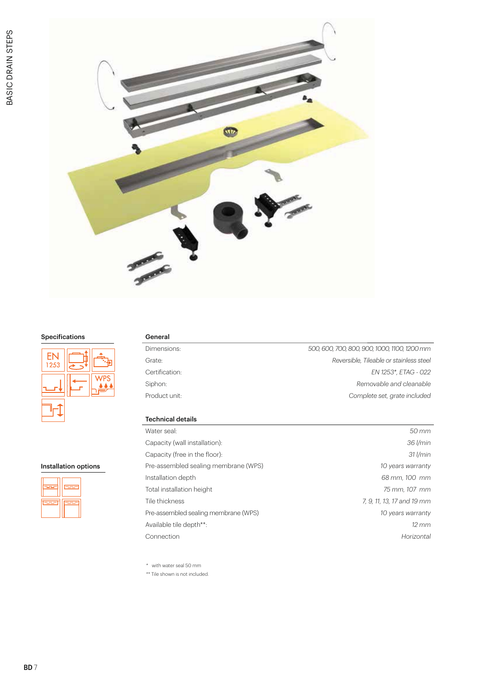

#### Specifications



### Installation options



### General

| Dimensions <sup>.</sup> |  |
|-------------------------|--|
| Grate:                  |  |
| Certification:          |  |
| Siphon:                 |  |
| Product unit-           |  |

### Technical details

| Water seal:                          | 50 mm                      |
|--------------------------------------|----------------------------|
| Capacity (wall installation):        | 36 <i>l/min</i>            |
| Capacity (free in the floor):        | $31$ $l/min$               |
| Pre-assembled sealing membrane (WPS) | 10 years warranty          |
| Installation depth                   | 68 mm, 100 mm              |
| Total installation height            | 75 mm, 107 mm              |
| Tile thickness                       | 7, 9, 11, 13, 17 and 19 mm |
| Pre-assembled sealing membrane (WPS) | 10 years warranty          |
| Available tile depth**:              | $12 \, \mathrm{mm}$        |
| Connection                           | Horizontal                 |
|                                      |                            |

Dimensions: *500, 600, 700, 800, 900, 1000, 1100, 1200 mm*

Grate: *Reversible, Tileable or stainless steel*

Certification: *EN 1253\*, ETAG - 022* Siphon: *Removable and cleanable* Complete set, grate included

\* with water seal 50 mm

\*\* Tile shown is not included.